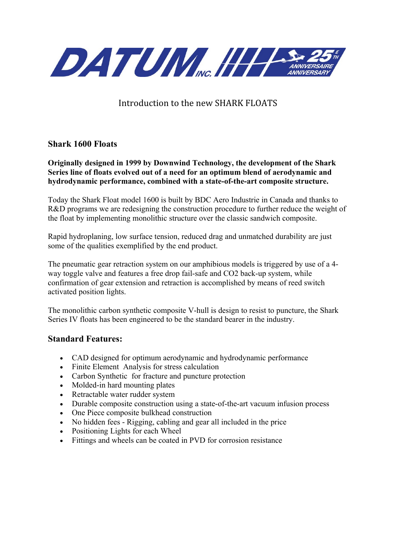

Introduction to the new SHARK FLOATS

## **Shark 1600 Floats**

**Originally designed in 1999 by Downwind Technology, the development of the Shark Series line of floats evolved out of a need for an optimum blend of aerodynamic and hydrodynamic performance, combined with a state-of-the-art composite structure.**

Today the Shark Float model 1600 is built by BDC Aero Industrie in Canada and thanks to R&D programs we are redesigning the construction procedure to further reduce the weight of the float by implementing monolithic structure over the classic sandwich composite.

Rapid hydroplaning, low surface tension, reduced drag and unmatched durability are just some of the qualities exemplified by the end product.

The pneumatic gear retraction system on our amphibious models is triggered by use of a 4 way toggle valve and features a free drop fail-safe and CO2 back-up system, while confirmation of gear extension and retraction is accomplished by means of reed switch activated position lights.

The monolithic carbon synthetic composite V-hull is design to resist to puncture, the Shark Series IV floats has been engineered to be the standard bearer in the industry.

## **Standard Features:**

- CAD designed for optimum aerodynamic and hydrodynamic performance
- Finite Element Analysis for stress calculation
- Carbon Synthetic for fracture and puncture protection
- Molded-in hard mounting plates
- Retractable water rudder system
- Durable composite construction using a state-of-the-art vacuum infusion process
- One Piece composite bulkhead construction
- No hidden fees Rigging, cabling and gear all included in the price
- Positioning Lights for each Wheel
- Fittings and wheels can be coated in PVD for corrosion resistance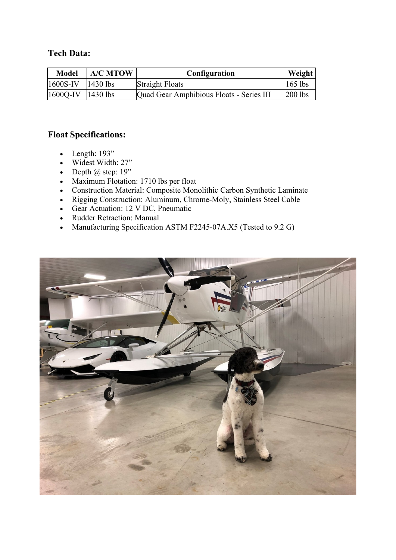#### **Tech Data:**

| <b>Model</b>             | <b>A/C MTOW</b> | Configuration                            | Weight      |
|--------------------------|-----------------|------------------------------------------|-------------|
| $1600S-IV$               | $1430$ lbs      | Straight Floats                          | $ 165 $ lbs |
| $ 1600Q-IV $ $ 1430$ lbs |                 | Quad Gear Amphibious Floats - Series III | $200$ lbs   |

# **Float Specifications:**

- $\bullet$  Length: 193"
- Widest Width: 27"
- Depth  $(a)$  step: 19"
- Maximum Flotation: 1710 lbs per float
- Construction Material: Composite Monolithic Carbon Synthetic Laminate
- Rigging Construction: Aluminum, Chrome-Moly, Stainless Steel Cable
- Gear Actuation: 12 V DC, Pneumatic
- Rudder Retraction: Manual
- Manufacturing Specification ASTM F2245-07A.X5 (Tested to 9.2 G)

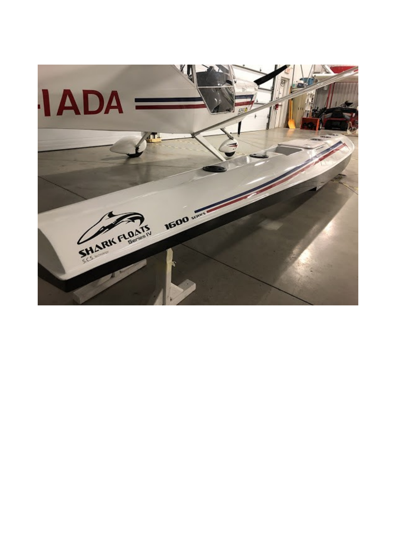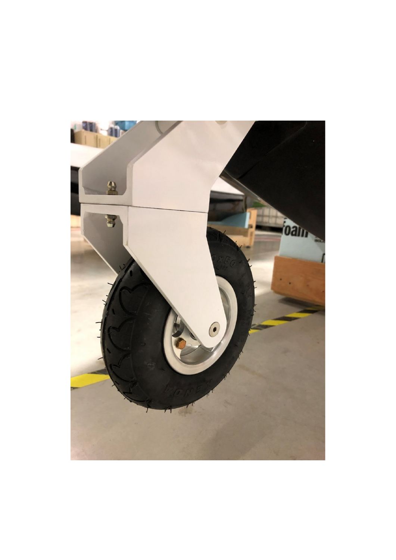